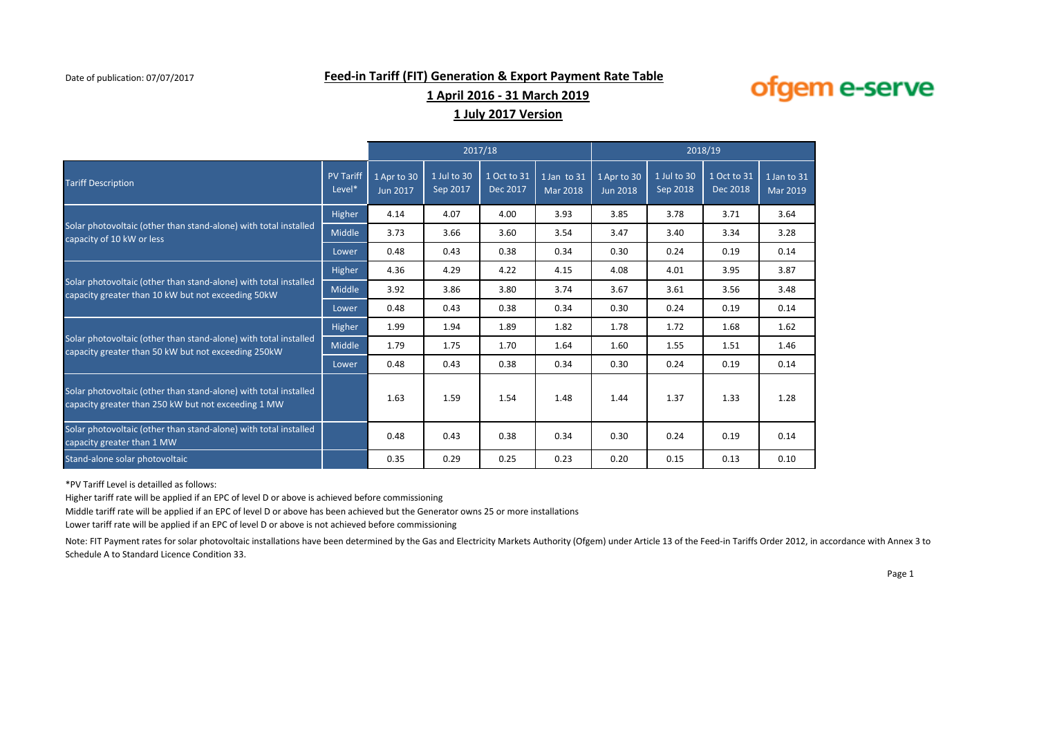## Date of publication: 07/07/2017 **Feed-in Tariff (FIT) Generation & Export Payment Rate Table**

## ofgem e-serve

## **1 April 2016 - 31 March 2019 1 July 2017 Version**

Tariff Description PV Tariff Network of the Contract of the PV Tariff PV Tariff Network of the PV Tariff  $\frac{1}{2}$ Level\* 1 Apr to 30 Jun 2017 1 Jul to 30 Sep 2017 1 Oct to 31 Dec 2017 1 Jan to 31 Mar 2018 1 Apr to 30 Jun 2018 1 Jul to 30 Sep 2018 1 Oct to 31 Dec 2018 1 Jan to 31 Mar 2019 Higher 4.14 4.07 4.00 3.93 3.85 3.78 3.71 3.64 Middle 3.73 3.66 3.60 3.54 3.47 3.40 3.34 3.28 Lower 0.48 0.43 0.38 0.34 0.30 0.24 0.19 0.14 Higher 4.36 4.29 4.22 4.15 4.08 4.01 3.95 3.87 Middle 3.92 3.86 3.80 3.74 3.67 3.61 3.56 3.48 Lower 0.48 0.43 0.38 0.34 0.30 0.24 0.19 0.14 Higher 1.99 1.94 1.89 1.82 1.78 1.72 1.68 1.62 Middle 1.79 1.75 1.70 1.64 1.60 1.55 1.51 1.46 Lower 0.48 0.43 0.38 0.34 0.30 0.24 0.19 0.14 Solar photovoltaic (other than stand-alone) with total installed  $\frac{1}{2000}$  capacity greater than 250 kW but not exceeding 1 MW 1.63 1.59 1.59 1.54 1.48 1.44 1.37 1.33 1.28 Solar photovoltaic (other than stand-alone) with total installed capacity greater than 1 MW 0.19 0.14 0.15 MM 0.48 0.43 0.38 0.34 0.30 0.30 0.24 0.19 0.19 0.14 Stand-alone solar photovoltaic **0.35 cm and 1.35 cm and 1.45 cm and 1.45** 0.25 cm and 1.45 cm and 1.45 cm and 1.40 2017/18 2018/19 Solar photovoltaic (other than stand-alone) with total installed capacity of 10 kW or less Solar photovoltaic (other than stand-alone) with total installed capacity greater than 10 kW but not exceeding 50kW Solar photovoltaic (other than stand-alone) with total installed capacity greater than 50 kW but not exceeding 250kW

\*PV Tariff Level is detailled as follows:

Higher tariff rate will be applied if an EPC of level D or above is achieved before commissioning

Middle tariff rate will be applied if an EPC of level D or above has been achieved but the Generator owns 25 or more installations

Lower tariff rate will be applied if an EPC of level D or above is not achieved before commissioning

Note: FIT Payment rates for solar photovoltaic installations have been determined by the Gas and Electricity Markets Authority (Ofgem) under Article 13 of the Feed-in Tariffs Order 2012, in accordance with Annex 3 to Schedule A to Standard Licence Condition 33.

Page 1